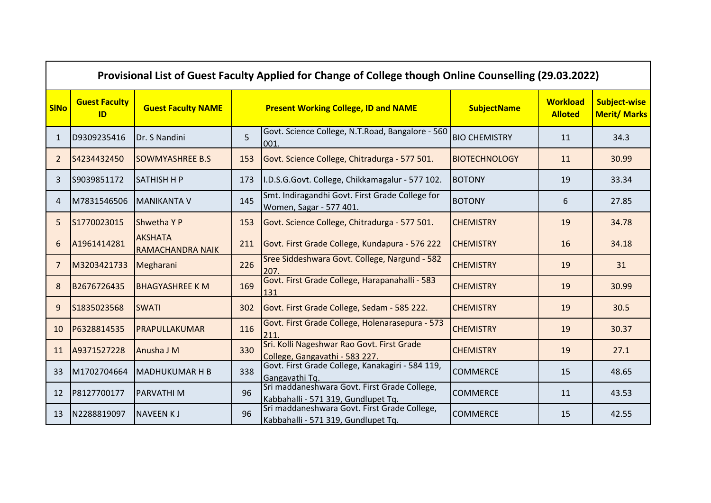|              | Provisional List of Guest Faculty Applied for Change of College though Online Counselling (29.03.2022) |                                           |     |                                                                                     |                      |                                   |                                            |  |  |
|--------------|--------------------------------------------------------------------------------------------------------|-------------------------------------------|-----|-------------------------------------------------------------------------------------|----------------------|-----------------------------------|--------------------------------------------|--|--|
| <b>SINo</b>  | <b>Guest Faculty</b><br>ID                                                                             | <b>Guest Faculty NAME</b>                 |     | <b>Present Working College, ID and NAME</b>                                         | <b>SubjectName</b>   | <b>Workload</b><br><b>Alloted</b> | <b>Subject-wise</b><br><b>Merit/ Marks</b> |  |  |
| $\mathbf{1}$ | D9309235416                                                                                            | Dr. S Nandini                             | 5   | Govt. Science College, N.T.Road, Bangalore - 560<br>001.                            | <b>BIO CHEMISTRY</b> | 11                                | 34.3                                       |  |  |
| 2            | S4234432450                                                                                            | <b>SOWMYASHREE B.S</b>                    | 153 | Govt. Science College, Chitradurga - 577 501.                                       | <b>BIOTECHNOLOGY</b> | 11                                | 30.99                                      |  |  |
| 3            | S9039851172                                                                                            | <b>SATHISH H P</b>                        | 173 | I.D.S.G.Govt. College, Chikkamagalur - 577 102.                                     | <b>BOTONY</b>        | 19                                | 33.34                                      |  |  |
| 4            | M7831546506                                                                                            | <b>MANIKANTA V</b>                        | 145 | Smt. Indiragandhi Govt. First Grade College for<br>Women, Sagar - 577 401.          | <b>BOTONY</b>        | 6                                 | 27.85                                      |  |  |
| 5            | S1770023015                                                                                            | <b>Shwetha YP</b>                         | 153 | Govt. Science College, Chitradurga - 577 501.                                       | <b>CHEMISTRY</b>     | 19                                | 34.78                                      |  |  |
| 6            | A1961414281                                                                                            | <b>AKSHATA</b><br><b>RAMACHANDRA NAIK</b> | 211 | Govt. First Grade College, Kundapura - 576 222                                      | <b>CHEMISTRY</b>     | 16                                | 34.18                                      |  |  |
| 7            | M3203421733                                                                                            | Megharani                                 | 226 | Sree Siddeshwara Govt. College, Nargund - 582<br>207.                               | <b>CHEMISTRY</b>     | 19                                | 31                                         |  |  |
| 8            | B2676726435                                                                                            | <b>BHAGYASHREE K M</b>                    | 169 | Govt. First Grade College, Harapanahalli - 583<br>131                               | <b>CHEMISTRY</b>     | 19                                | 30.99                                      |  |  |
| 9            | S1835023568                                                                                            | <b>SWATI</b>                              | 302 | Govt. First Grade College, Sedam - 585 222.                                         | <b>CHEMISTRY</b>     | 19                                | 30.5                                       |  |  |
| 10           | P6328814535                                                                                            | PRAPULLAKUMAR                             | 116 | Govt. First Grade College, Holenarasepura - 573<br>211.                             | <b>CHEMISTRY</b>     | 19                                | 30.37                                      |  |  |
| 11           | A9371527228                                                                                            | Anusha J M                                | 330 | Sri. Kolli Nageshwar Rao Govt. First Grade<br>College, Gangavathi - 583 227.        | <b>CHEMISTRY</b>     | 19                                | 27.1                                       |  |  |
| 33           | M1702704664                                                                                            | <b>MADHUKUMAR H B</b>                     | 338 | Govt. First Grade College, Kanakagiri - 584 119,<br>Gangavathi Tg.                  | <b>COMMERCE</b>      | 15                                | 48.65                                      |  |  |
| 12           | P8127700177                                                                                            | <b>PARVATHIM</b>                          | 96  | Sri maddaneshwara Govt. First Grade College,<br>Kabbahalli - 571 319, Gundlupet Tq. | <b>COMMERCE</b>      | 11                                | 43.53                                      |  |  |
| 13           | N2288819097                                                                                            | <b>NAVEEN KJ</b>                          | 96  | Sri maddaneshwara Govt. First Grade College,<br>Kabbahalli - 571 319, Gundlupet Tq. | <b>COMMERCE</b>      | 15                                | 42.55                                      |  |  |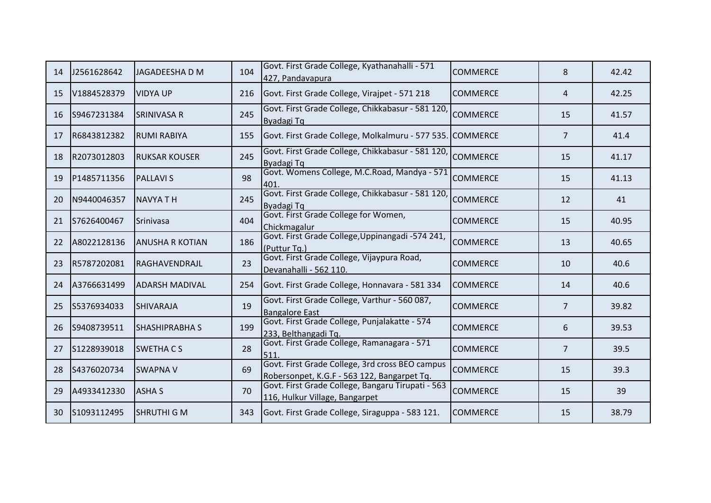| 14 | J2561628642 | JAGADEESHA D M         | 104 | Govt. First Grade College, Kyathanahalli - 571<br>427, Pandavapura                             | <b>COMMERCE</b> | 8              | 42.42 |
|----|-------------|------------------------|-----|------------------------------------------------------------------------------------------------|-----------------|----------------|-------|
| 15 | V1884528379 | <b>VIDYA UP</b>        | 216 | Govt. First Grade College, Virajpet - 571 218                                                  | <b>COMMERCE</b> | 4              | 42.25 |
| 16 | S9467231384 | <b>SRINIVASA R</b>     | 245 | Govt. First Grade College, Chikkabasur - 581 120,<br>Byadagi Tq                                | <b>COMMERCE</b> | 15             | 41.57 |
| 17 | R6843812382 | <b>RUMI RABIYA</b>     | 155 | Govt. First Grade College, Molkalmuru - 577 535. COMMERCE                                      |                 | $\overline{7}$ | 41.4  |
| 18 | R2073012803 | <b>IRUKSAR KOUSER</b>  | 245 | Govt. First Grade College, Chikkabasur - 581 120,<br>Byadagi Tq                                | <b>COMMERCE</b> | 15             | 41.17 |
| 19 | P1485711356 | <b>PALLAVIS</b>        | 98  | Govt. Womens College, M.C.Road, Mandya - 571<br>401                                            | <b>COMMERCE</b> | 15             | 41.13 |
| 20 | N9440046357 | <b>NAVYA TH</b>        | 245 | Govt. First Grade College, Chikkabasur - 581 120,<br>Byadagi Tq                                | <b>COMMERCE</b> | 12             | 41    |
| 21 | S7626400467 | <b>Srinivasa</b>       | 404 | Govt. First Grade College for Women,<br>Chickmagalur                                           | <b>COMMERCE</b> | 15             | 40.95 |
| 22 | A8022128136 | <b>ANUSHA R KOTIAN</b> | 186 | Govt. First Grade College, Uppinangadi -574 241,<br>(Puttur Tq.)                               | <b>COMMERCE</b> | 13             | 40.65 |
| 23 | R5787202081 | RAGHAVENDRAJL          | 23  | Govt. First Grade College, Vijaypura Road,<br>Devanahalli - 562 110.                           | <b>COMMERCE</b> | 10             | 40.6  |
| 24 | A3766631499 | <b>ADARSH MADIVAL</b>  | 254 | Govt. First Grade College, Honnavara - 581 334                                                 | <b>COMMERCE</b> | 14             | 40.6  |
| 25 | S5376934033 | <b>SHIVARAJA</b>       | 19  | Govt. First Grade College, Varthur - 560 087,<br><b>Bangalore East</b>                         | <b>COMMERCE</b> | $\overline{7}$ | 39.82 |
| 26 | S9408739511 | <b>SHASHIPRABHA S</b>  | 199 | Govt. First Grade College, Punjalakatte - 574<br>233, Belthangadi Tq.                          | <b>COMMERCE</b> | 6              | 39.53 |
| 27 | S1228939018 | <b>SWETHACS</b>        | 28  | Govt. First Grade College, Ramanagara - 571<br>511                                             | <b>COMMERCE</b> | $\overline{7}$ | 39.5  |
| 28 | S4376020734 | <b>SWAPNA V</b>        | 69  | Govt. First Grade College, 3rd cross BEO campus<br>Robersonpet, K.G.F - 563 122, Bangarpet Tq. | <b>COMMERCE</b> | 15             | 39.3  |
| 29 | A4933412330 | <b>ASHA S</b>          | 70  | Govt. First Grade College, Bangaru Tirupati - 563<br>116, Hulkur Village, Bangarpet            | <b>COMMERCE</b> | 15             | 39    |
| 30 | S1093112495 | <b>SHRUTHI G M</b>     | 343 | Govt. First Grade College, Siraguppa - 583 121.                                                | <b>COMMERCE</b> | 15             | 38.79 |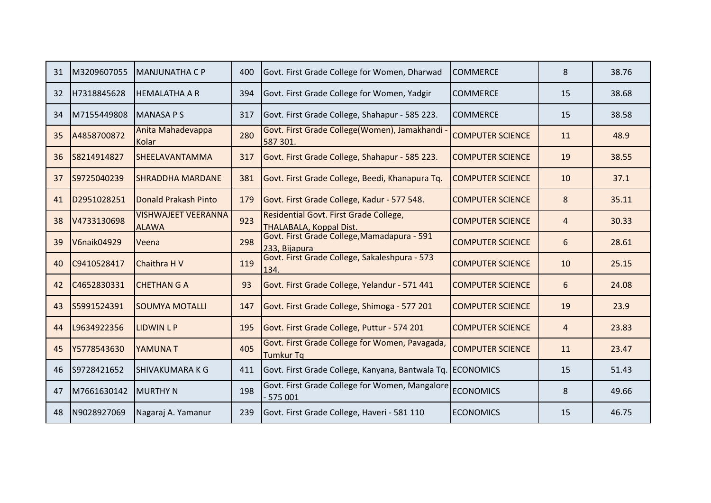| 31 | M3209607055 | IMANJUNATHA C P                            | 400 | Govt. First Grade College for Women, Dharwad                       | <b>COMMERCE</b>         | 8              | 38.76 |
|----|-------------|--------------------------------------------|-----|--------------------------------------------------------------------|-------------------------|----------------|-------|
| 32 | H7318845628 | <b>HEMALATHA A R</b>                       | 394 | Govt. First Grade College for Women, Yadgir                        | <b>COMMERCE</b>         | 15             | 38.68 |
| 34 | M7155449808 | <b>MANASA PS</b>                           | 317 | Govt. First Grade College, Shahapur - 585 223.                     | <b>COMMERCE</b>         | 15             | 38.58 |
| 35 | A4858700872 | Anita Mahadevappa<br>Kolar                 | 280 | Govt. First Grade College(Women), Jamakhandi -<br>587 301.         | <b>COMPUTER SCIENCE</b> | 11             | 48.9  |
| 36 | S8214914827 | <b>SHEELAVANTAMMA</b>                      | 317 | Govt. First Grade College, Shahapur - 585 223.                     | <b>COMPUTER SCIENCE</b> | 19             | 38.55 |
| 37 | S9725040239 | <b>SHRADDHA MARDANE</b>                    | 381 | Govt. First Grade College, Beedi, Khanapura Tq.                    | <b>COMPUTER SCIENCE</b> | 10             | 37.1  |
| 41 | D2951028251 | Donald Prakash Pinto                       | 179 | Govt. First Grade College, Kadur - 577 548.                        | <b>COMPUTER SCIENCE</b> | 8              | 35.11 |
| 38 | V4733130698 | <b>VISHWAJEET VEERANNA</b><br><b>ALAWA</b> | 923 | Residential Govt. First Grade College,<br>THALABALA, Koppal Dist.  | <b>COMPUTER SCIENCE</b> | $\overline{4}$ | 30.33 |
| 39 | V6naik04929 | Veena                                      | 298 | Govt. First Grade College, Mamadapura - 591<br>233, Bijapura       | <b>COMPUTER SCIENCE</b> | 6              | 28.61 |
| 40 | C9410528417 | Chaithra H V                               | 119 | Govt. First Grade College, Sakaleshpura - 573<br>134.              | <b>COMPUTER SCIENCE</b> | 10             | 25.15 |
| 42 | C4652830331 | <b>CHETHAN G A</b>                         | 93  | Govt. First Grade College, Yelandur - 571 441                      | <b>COMPUTER SCIENCE</b> | 6              | 24.08 |
| 43 | S5991524391 | <b>SOUMYA MOTALLI</b>                      | 147 | Govt. First Grade College, Shimoga - 577 201                       | <b>COMPUTER SCIENCE</b> | 19             | 23.9  |
| 44 | L9634922356 | <b>LIDWIN L P</b>                          | 195 | Govt. First Grade College, Puttur - 574 201                        | <b>COMPUTER SCIENCE</b> | $\overline{4}$ | 23.83 |
| 45 | Y5778543630 | YAMUNA T                                   | 405 | Govt. First Grade College for Women, Pavagada,<br><b>Tumkur Tq</b> | <b>COMPUTER SCIENCE</b> | 11             | 23.47 |
| 46 | S9728421652 | <b>SHIVAKUMARA K G</b>                     | 411 | Govt. First Grade College, Kanyana, Bantwala Tq. ECONOMICS         |                         | 15             | 51.43 |
| 47 | M7661630142 | <b>MURTHY N</b>                            | 198 | Govt. First Grade College for Women, Mangalore<br>$-575001$        | <b>ECONOMICS</b>        | 8              | 49.66 |
| 48 | N9028927069 | Nagaraj A. Yamanur                         | 239 | Govt. First Grade College, Haveri - 581 110                        | <b>ECONOMICS</b>        | 15             | 46.75 |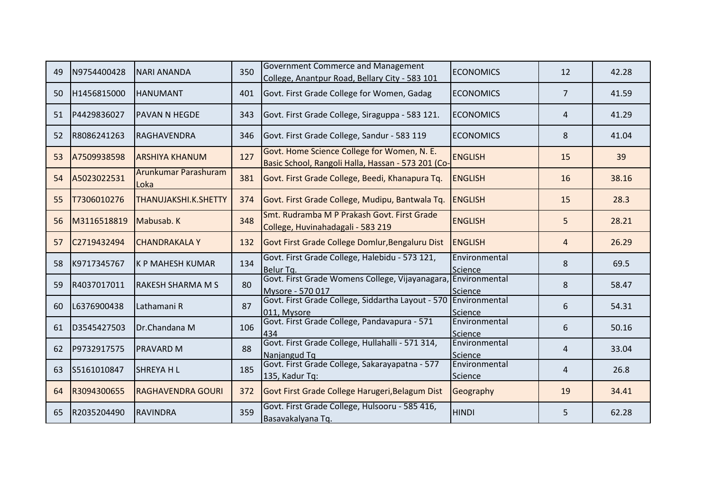| 49 | N9754400428 | INARI ANANDA                 | 350 | <b>Government Commerce and Management</b><br>College, Anantpur Road, Bellary City - 583 101       | <b>ECONOMICS</b>         | 12             | 42.28 |
|----|-------------|------------------------------|-----|---------------------------------------------------------------------------------------------------|--------------------------|----------------|-------|
| 50 | H1456815000 | <b>HANUMANT</b>              | 401 | Govt. First Grade College for Women, Gadag                                                        | <b>ECONOMICS</b>         | $\overline{7}$ | 41.59 |
| 51 | P4429836027 | <b>PAVAN N HEGDE</b>         | 343 | Govt. First Grade College, Siraguppa - 583 121.                                                   | <b>ECONOMICS</b>         | 4              | 41.29 |
| 52 | R8086241263 | RAGHAVENDRA                  | 346 | Govt. First Grade College, Sandur - 583 119                                                       | <b>ECONOMICS</b>         | 8              | 41.04 |
| 53 | A7509938598 | <b>ARSHIYA KHANUM</b>        | 127 | Govt. Home Science College for Women, N. E.<br>Basic School, Rangoli Halla, Hassan - 573 201 (Co- | <b>ENGLISH</b>           | 15             | 39    |
| 54 | A5023022531 | Arunkumar Parashuram<br>Loka | 381 | Govt. First Grade College, Beedi, Khanapura Tq.                                                   | <b>ENGLISH</b>           | 16             | 38.16 |
| 55 | T7306010276 | <b>THANUJAKSHI.K.SHETTY</b>  | 374 | Govt. First Grade College, Mudipu, Bantwala Tq.                                                   | ENGLISH                  | 15             | 28.3  |
| 56 | M3116518819 | Mabusab. K                   | 348 | Smt. Rudramba M P Prakash Govt. First Grade<br>College, Huvinahadagali - 583 219                  | <b>ENGLISH</b>           | 5              | 28.21 |
| 57 | C2719432494 | <b>CHANDRAKALAY</b>          | 132 | Govt First Grade College Domlur, Bengaluru Dist                                                   | ENGLISH                  | 4              | 26.29 |
| 58 | K9717345767 | <b>K P MAHESH KUMAR</b>      | 134 | Govt. First Grade College, Halebidu - 573 121,<br>Belur Tq.                                       | Environmental<br>Science | 8              | 69.5  |
| 59 | R4037017011 | <b>IRAKESH SHARMA M S</b>    | 80  | Govt. First Grade Womens College, Vijayanagara, Environmental<br>Mysore - 570 017                 | Science                  | 8              | 58.47 |
| 60 | L6376900438 | Lathamani R                  | 87  | Govt. First Grade College, Siddartha Layout - 570 Environmental<br>011, Mysore                    | Science                  | 6              | 54.31 |
| 61 | D3545427503 | Dr.Chandana M                | 106 | Govt. First Grade College, Pandavapura - 571<br>434                                               | Environmental<br>Science | 6              | 50.16 |
| 62 | P9732917575 | <b>PRAVARD M</b>             | 88  | Govt. First Grade College, Hullahalli - 571 314,<br>Nanjangud Tq                                  | Environmental<br>Science | 4              | 33.04 |
| 63 | S5161010847 | <b>SHREYA HL</b>             | 185 | Govt. First Grade College, Sakarayapatna - 577<br>135, Kadur Tq:                                  | Environmental<br>Science | $\overline{4}$ | 26.8  |
| 64 | R3094300655 | <b>RAGHAVENDRA GOURI</b>     | 372 | Govt First Grade College Harugeri, Belagum Dist                                                   | Geography                | 19             | 34.41 |
| 65 | R2035204490 | <b>RAVINDRA</b>              | 359 | Govt. First Grade College, Hulsooru - 585 416,<br>Basavakalyana Tq.                               | <b>HINDI</b>             | 5              | 62.28 |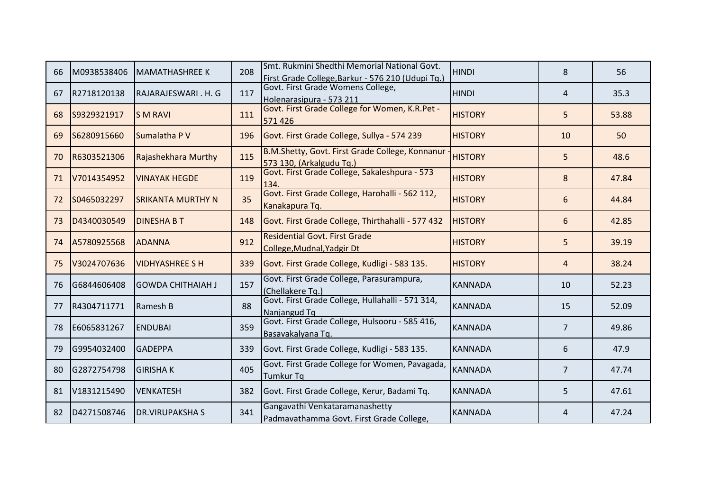| 66 | M0938538406 | lMAMATHASHREE K            | 208 | Smt. Rukmini Shedthi Memorial National Govt.<br>First Grade College, Barkur - 576 210 (Udupi Tq.) | <b>HINDI</b>   | 8              | 56    |
|----|-------------|----------------------------|-----|---------------------------------------------------------------------------------------------------|----------------|----------------|-------|
| 67 | R2718120138 | RAJARAJESWARI. H. G        | 117 | Govt. First Grade Womens College,<br>Holenarasipura - 573 211                                     | <b>HINDI</b>   | 4              | 35.3  |
| 68 | S9329321917 | IS M RAVI                  | 111 | Govt. First Grade College for Women, K.R.Pet -<br>571426                                          | <b>HISTORY</b> | 5              | 53.88 |
| 69 | S6280915660 | Sumalatha P V              | 196 | Govt. First Grade College, Sullya - 574 239                                                       | <b>HISTORY</b> | 10             | 50    |
| 70 | R6303521306 | <b>Rajashekhara Murthy</b> | 115 | B.M.Shetty, Govt. First Grade College, Konnanur -<br>573 130, (Arkalgudu Tq.)                     | <b>HISTORY</b> | 5              | 48.6  |
| 71 | V7014354952 | <b>VINAYAK HEGDE</b>       | 119 | Govt. First Grade College, Sakaleshpura - 573<br>134.                                             | <b>HISTORY</b> | 8              | 47.84 |
| 72 | S0465032297 | ISRIKANTA MURTHY N         | 35  | Govt. First Grade College, Harohalli - 562 112,<br>Kanakapura Tq.                                 | <b>HISTORY</b> | 6              | 44.84 |
| 73 | D4340030549 | <b>DINESHABT</b>           | 148 | Govt. First Grade College, Thirthahalli - 577 432                                                 | <b>HISTORY</b> | 6              | 42.85 |
| 74 | A5780925568 | <b>ADANNA</b>              | 912 | <b>Residential Govt. First Grade</b><br>College, Mudnal, Yadgir Dt                                | <b>HISTORY</b> | 5              | 39.19 |
| 75 | V3024707636 | <b>VIDHYASHREE S H</b>     | 339 | Govt. First Grade College, Kudligi - 583 135.                                                     | <b>HISTORY</b> | $\overline{4}$ | 38.24 |
| 76 | G6844606408 | lGOWDA CHITHAIAH J         | 157 | Govt. First Grade College, Parasurampura,<br>(Chellakere Tq.)                                     | <b>KANNADA</b> | 10             | 52.23 |
| 77 | R4304711771 | Ramesh B                   | 88  | Govt. First Grade College, Hullahalli - 571 314,<br>Nanjangud Tq                                  | <b>KANNADA</b> | 15             | 52.09 |
| 78 | E6065831267 | <b>ENDUBAI</b>             | 359 | Govt. First Grade College, Hulsooru - 585 416,<br>Basavakalyana Tq.                               | <b>KANNADA</b> | $\overline{7}$ | 49.86 |
| 79 | G9954032400 | <b>GADEPPA</b>             | 339 | Govt. First Grade College, Kudligi - 583 135.                                                     | <b>KANNADA</b> | 6              | 47.9  |
| 80 | G2872754798 | <b>GIRISHAK</b>            | 405 | Govt. First Grade College for Women, Pavagada,<br><b>Tumkur Tq</b>                                | <b>KANNADA</b> | $\overline{7}$ | 47.74 |
| 81 | V1831215490 | <b>VENKATESH</b>           | 382 | Govt. First Grade College, Kerur, Badami Tq.                                                      | <b>KANNADA</b> | 5              | 47.61 |
| 82 | D4271508746 | <b>DR.VIRUPAKSHAS</b>      | 341 | Gangavathi Venkataramanashetty<br>Padmavathamma Govt. First Grade College,                        | <b>KANNADA</b> | 4              | 47.24 |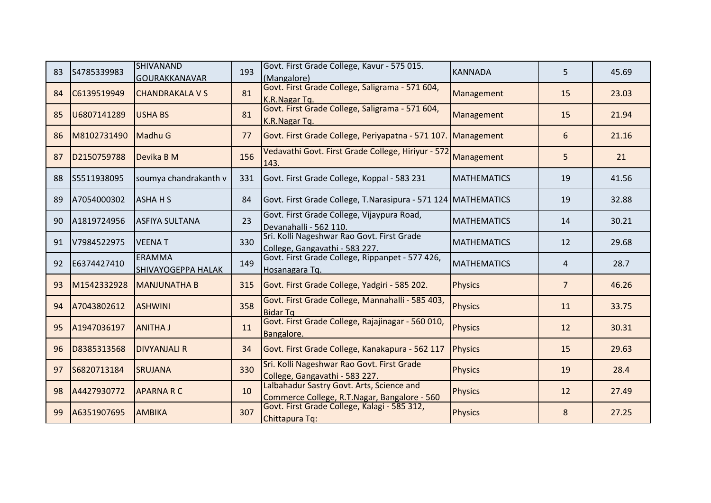| 83 | S4785339983 | <b>SHIVANAND</b><br><b>GOURAKKANAVAR</b>   | 193 | Govt. First Grade College, Kavur - 575 015.<br>(Mangalore)                                | <b>KANNADA</b>     | 5              | 45.69 |
|----|-------------|--------------------------------------------|-----|-------------------------------------------------------------------------------------------|--------------------|----------------|-------|
| 84 | C6139519949 | <b>CHANDRAKALA V S</b>                     | 81  | Govt. First Grade College, Saligrama - 571 604,<br>K.R.Nagar Tq.                          | Management         | 15             | 23.03 |
| 85 | U6807141289 | <b>USHA BS</b>                             | 81  | Govt. First Grade College, Saligrama - 571 604,<br>K.R.Nagar Tq.                          | Management         | 15             | 21.94 |
| 86 | M8102731490 | Madhu G                                    | 77  | Govt. First Grade College, Periyapatna - 571 107. Management                              |                    | 6              | 21.16 |
| 87 | D2150759788 | Devika B M                                 | 156 | Vedavathi Govt. First Grade College, Hiriyur - 572<br>143.                                | Management         | 5              | 21    |
| 88 | S5511938095 | soumya chandrakanth v                      | 331 | Govt. First Grade College, Koppal - 583 231                                               | <b>MATHEMATICS</b> | 19             | 41.56 |
| 89 | A7054000302 | <b>ASHAHS</b>                              | 84  | Govt. First Grade College, T.Narasipura - 571 124 MATHEMATICS                             |                    | 19             | 32.88 |
| 90 | A1819724956 | <b>ASFIYA SULTANA</b>                      | 23  | Govt. First Grade College, Vijaypura Road,<br>Devanahalli - 562 110.                      | <b>MATHEMATICS</b> | 14             | 30.21 |
| 91 | V7984522975 | <b>VEENAT</b>                              | 330 | Sri. Kolli Nageshwar Rao Govt. First Grade<br>College, Gangavathi - 583 227.              | <b>MATHEMATICS</b> | 12             | 29.68 |
| 92 | E6374427410 | <b>ERAMMA</b><br><b>SHIVAYOGEPPA HALAK</b> | 149 | Govt. First Grade College, Rippanpet - 577 426,<br>Hosanagara Tq.                         | <b>MATHEMATICS</b> | 4              | 28.7  |
| 93 | M1542332928 | <b>MANJUNATHA B</b>                        | 315 | Govt. First Grade College, Yadgiri - 585 202.                                             | Physics            | $\overline{7}$ | 46.26 |
| 94 | A7043802612 | <b>ASHWINI</b>                             | 358 | Govt. First Grade College, Mannahalli - 585 403,<br><b>Bidar Tg</b>                       | <b>Physics</b>     | 11             | 33.75 |
| 95 | A1947036197 | <b>ANITHA J</b>                            | 11  | Govt. First Grade College, Rajajinagar - 560 010,<br>Bangalore.                           | Physics            | 12             | 30.31 |
| 96 | D8385313568 | <b>DIVYANJALI R</b>                        | 34  | Govt. First Grade College, Kanakapura - 562 117                                           | <b>Physics</b>     | 15             | 29.63 |
| 97 | S6820713184 | <b>SRUJANA</b>                             | 330 | Sri. Kolli Nageshwar Rao Govt. First Grade<br>College, Gangavathi - 583 227.              | <b>Physics</b>     | 19             | 28.4  |
| 98 | A4427930772 | <b>APARNARC</b>                            | 10  | Lalbahadur Sastry Govt. Arts, Science and<br>Commerce College, R.T.Nagar, Bangalore - 560 | Physics            | 12             | 27.49 |
| 99 | A6351907695 | <b>AMBIKA</b>                              | 307 | Govt. First Grade College, Kalagi - 585 312,<br>Chittapura Tq:                            | Physics            | 8              | 27.25 |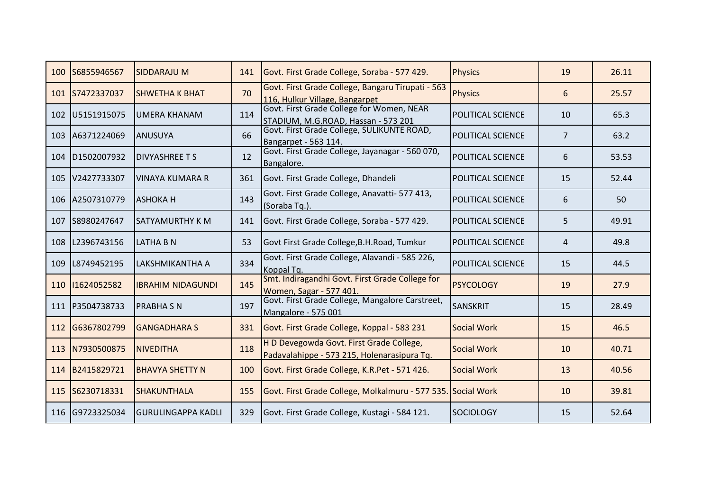| 100 | S6855946567     | <b>SIDDARAJU M</b>        | 141 | Govt. First Grade College, Soraba - 577 429.                                            | Physics                   | 19             | 26.11 |
|-----|-----------------|---------------------------|-----|-----------------------------------------------------------------------------------------|---------------------------|----------------|-------|
| 101 | S7472337037     | <b>SHWETHA K BHAT</b>     | 70  | Govt. First Grade College, Bangaru Tirupati - 563<br>116, Hulkur Village, Bangarpet     | <b>Physics</b>            | 6              | 25.57 |
| 102 | U5151915075     | lumera khanam             | 114 | Govt. First Grade College for Women, NEAR<br>STADIUM, M.G.ROAD, Hassan - 573 201        | POLITICAL SCIENCE         | 10             | 65.3  |
| 103 | A6371224069     | <b>ANUSUYA</b>            | 66  | Govt. First Grade College, SULIKUNTE ROAD,<br>Bangarpet - 563 114.                      | POLITICAL SCIENCE         | $\overline{7}$ | 63.2  |
| 104 | D1502007932     | <b>IDIVYASHREE T S</b>    | 12  | Govt. First Grade College, Jayanagar - 560 070,<br>Bangalore.                           | <b>POLITICAL SCIENCE</b>  | 6              | 53.53 |
| 105 | V2427733307     | IVINAYA KUMARA R          | 361 | Govt. First Grade College, Dhandeli                                                     | <b>IPOLITICAL SCIENCE</b> | 15             | 52.44 |
| 106 | A2507310779     | <b>ASHOKAH</b>            | 143 | Govt. First Grade College, Anavatti- 577 413,<br>(Soraba Tq.)                           | <b>POLITICAL SCIENCE</b>  | 6              | 50    |
| 107 | S8980247647     | <b>SATYAMURTHY K M</b>    | 141 | Govt. First Grade College, Soraba - 577 429.                                            | IPOLITICAL SCIENCE        | 5              | 49.91 |
| 108 | L2396743156     | ILATHA B N                | 53  | Govt First Grade College, B.H. Road, Tumkur                                             | IPOLITICAL SCIENCE        | 4              | 49.8  |
| 109 | L8749452195     | LAKSHMIKANTHA A           | 334 | Govt. First Grade College, Alavandi - 585 226,<br>Koppal Tq.                            | <b>POLITICAL SCIENCE</b>  | 15             | 44.5  |
| 110 | 11624052582     | <b>IBRAHIM NIDAGUNDI</b>  | 145 | Smt. Indiragandhi Govt. First Grade College for<br>Women, Sagar - 577 401.              | <b>PSYCOLOGY</b>          | 19             | 27.9  |
| 111 | P3504738733     | <b>PRABHA S N</b>         | 197 | Govt. First Grade College, Mangalore Carstreet,<br>Mangalore - 575 001                  | <b>SANSKRIT</b>           | 15             | 28.49 |
| 112 | G6367802799     | <b>GANGADHARA S</b>       | 331 | Govt. First Grade College, Koppal - 583 231                                             | Social Work               | 15             | 46.5  |
| 113 | N7930500875     | <b>NIVEDITHA</b>          | 118 | H D Devegowda Govt. First Grade College,<br>Padavalahippe - 573 215, Holenarasipura Tq. | Social Work               | 10             | 40.71 |
| 114 | B2415829721     | <b>BHAVYA SHETTY N</b>    | 100 | Govt. First Grade College, K.R.Pet - 571 426.                                           | Social Work               | 13             | 40.56 |
| 115 | S6230718331     | <b>SHAKUNTHALA</b>        | 155 | Govt. First Grade College, Molkalmuru - 577 535. Social Work                            |                           | 10             | 39.81 |
|     | 116 G9723325034 | <b>GURULINGAPPA KADLI</b> | 329 | Govt. First Grade College, Kustagi - 584 121.                                           | <b>SOCIOLOGY</b>          | 15             | 52.64 |